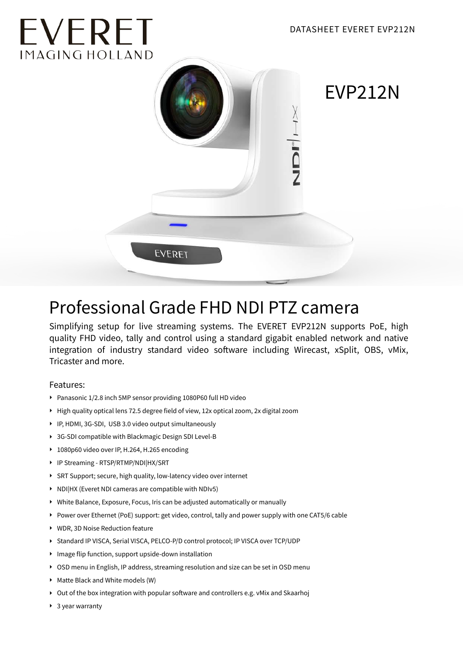# EVERET IMAGING HOLLAND



## Professional Grade FHD NDI PTZ camera

Simplifying setup for live streaming systems. The EVERET EVP212N supports PoE, high quality FHD video, tally and control using a standard gigabit enabled network and native integration of industry standard video software including Wirecast, xSplit, OBS, vMix, Tricaster and more.

#### Features:

- ‣ Panasonic 1/2.8 inch 5MP sensor providing 1080P60 full HD video
- ‣ High quality optical lens 72.5 degree field of view, 12x optical zoom, 2x digital zoom
- ‣ IP, HDMI, 3G-SDI, USB 3.0 video output simultaneously
- ‣ 3G-SDI compatible with Blackmagic Design SDI Level-B
- ‣ 1080p60 video over IP, H.264, H.265 encoding
- ‣ IP Streaming RTSP/RTMP/NDI|HX/SRT
- ‣ SRT Support; secure, high quality, low-latency video over internet
- ‣ NDI|HX (Everet NDI cameras are compatible with NDIv5)
- ‣ White Balance, Exposure, Focus, Iris can be adjusted automatically or manually
- ‣ Power over Ethernet (PoE) support: get video, control, tally and power supply with one CAT5/6 cable
- ‣ WDR, 3D Noise Reduction feature
- ‣ Standard IP VISCA, Serial VISCA, PELCO-P/D control protocol; IP VISCA over TCP/UDP
- ‣ Image flip function, support upside-down installation
- ‣ OSD menu in English, IP address, streaming resolution and size can be set in OSD menu
- ‣ Matte Black and White models (W)
- ‣ Out of the box integration with popular software and controllers e.g. vMix and Skaarhoj
- ▶ 3 year warranty